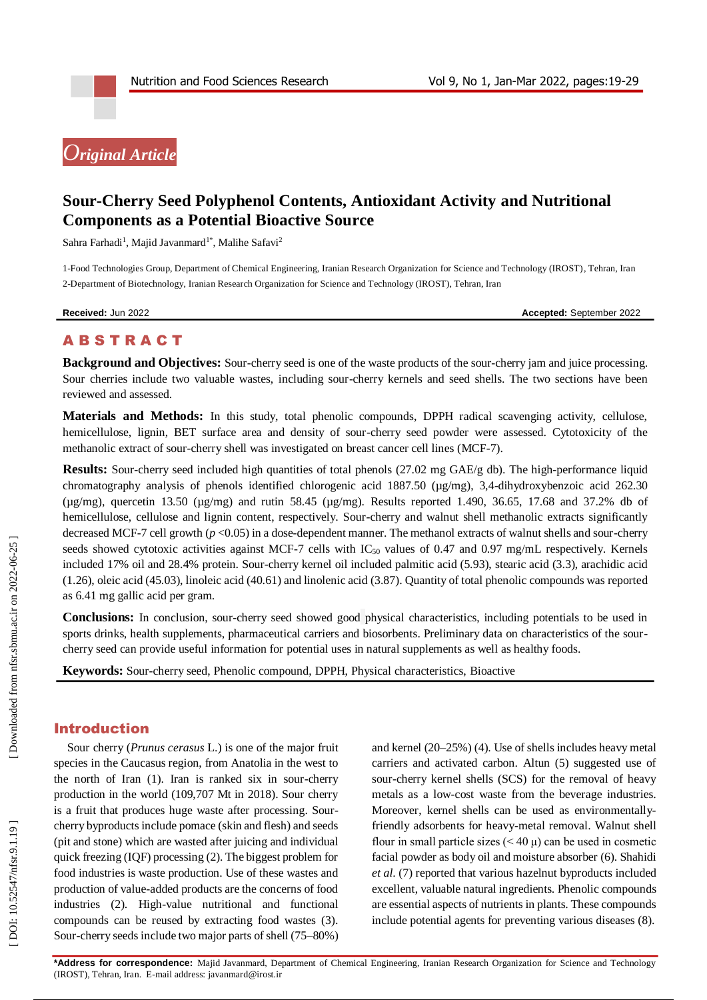# *Original Article*

# **Sour -Cherry Seed Polyphenol Contents, Antioxidant Activity and Nutritional Components as a Potential Bioactive Source**

Sahra Farhadi<sup>1</sup>, Majid Javanmard<sup>1\*</sup>, Malihe Safavi<sup>2</sup>

1 -Food Technologies Group, Department of Chemical Engineering, Iranian Research Organization for Science and Technology (IROST), Tehran, Iran 2 -Department of Biotechnology, Iranian Research Organization for Science and Technology (IROST), Tehran, Iran

**Received:** Ju

n 2022 **Accepted:** September 2022

# **ABSTRACT**

Background and Objectives: Sour-cherry seed is one of the waste products of the sour-cherry jam and juice processing. Sour cherries include two valuable wastes, including sour -cherry kernels and seed shells. The two sections have been reviewed and assessed.

**Materials and Methods:** In this study, total phenolic compounds, DPPH radical scavenging activity, cellulose, hemicellulose, lignin, BET surface area and density of sour -cherry seed powder were assessed. Cytotoxicity of the methanolic extract of sour-cherry shell was investigated on breast cancer cell lines (MCF-7).

Results: Sour-cherry seed included high quantities of total phenols (27.02 mg GAE/g db). The high-performance liquid chromatography analysis of phenols identified chlorogenic acid 1887.50 (µg/mg), 3,4-dihydroxybenzoic acid 262.30 ( $\mu$ g/mg), quercetin 13.50 ( $\mu$ g/mg) and rutin 58.45 ( $\mu$ g/mg). Results reported 1.490, 36.65, 17.68 and 37.2% db of hemicellulose, cellulose and lignin content, respectively. Sour -cherry and walnut shell methanolic extracts significantly decreased MCF-7 cell growth ( $p < 0.05$ ) in a dose-dependent manner. The methanol extracts of walnut shells and sour-cherry seeds showed cytotoxic activities against MCF-7 cells with  $IC_{50}$  values of 0.47 and 0.97 mg/mL respectively. Kernels included 17% oil and 28.4% protein. Sour -cherry kernel oil included palmitic acid (5.93), stearic acid (3.3), arachidic acid (1.26), oleic acid (45.03), linoleic acid (40.61) and linolenic acid (3.87). Quantity of total phenolic compounds was reported as 6.41 mg gallic acid per gram.

Conclusions: In conclusion, sour-cherry seed showed good physical characteristics, including potentials to be used in sports drinks, health supplements, pharmaceutical carriers and biosorbents. Preliminary data on characteristics of the sour cherry seed can provide useful information for potential uses in natural supplements as well as healthy foods.

**Keywords:** Sour -cherry seed, Phenolic compound, DPPH, Physical characteristics, Bioactive

# Introduction

Sour cherry (*Prunus cerasus* L.) is one of the major fruit species in the Caucasus region, from Anatolia in the west to the north of Iran (1). Iran is ranked six in sour -cherry production in the world (109,707 Mt in 2018). Sour cherry is a fruit that produces huge waste after processing. Sour cherry byproducts include pomace (skin and flesh) and seeds (pit and stone) which are wasted after juicing and individual quick freezing (IQF) processing (2). The biggest problem for food industries is waste production. Use of these wastes and production of value -added products are the concerns of food industries (2). High -value nutritional and functional compounds can be reused by extracting food wastes (3). Sour -cherry seeds include two major parts of shell (75 –80%)

and kernel (20 –25%) (4). Use of shells includes heavy metal carriers and activated carbon. Altun (5) suggested use of sour -cherry kernel shells (SCS) for the removal of heavy metals as a low -cost waste from the beverage industries. Moreover, kernel shells can be used as environmentallyfriendly adsorbents for heavy -metal removal. Walnut shell flour in small particle sizes  $(< 40 \mu$ ) can be used in cosmetic facial powder as body oil and moisture absorber (6). Shahidi *et al*. (7) reported that various hazelnut byproducts included excellent, valuable natural ingredients. Phenolic compounds are essential aspects of nutrients in plants. These compounds include potential agents for preventing various diseases (8).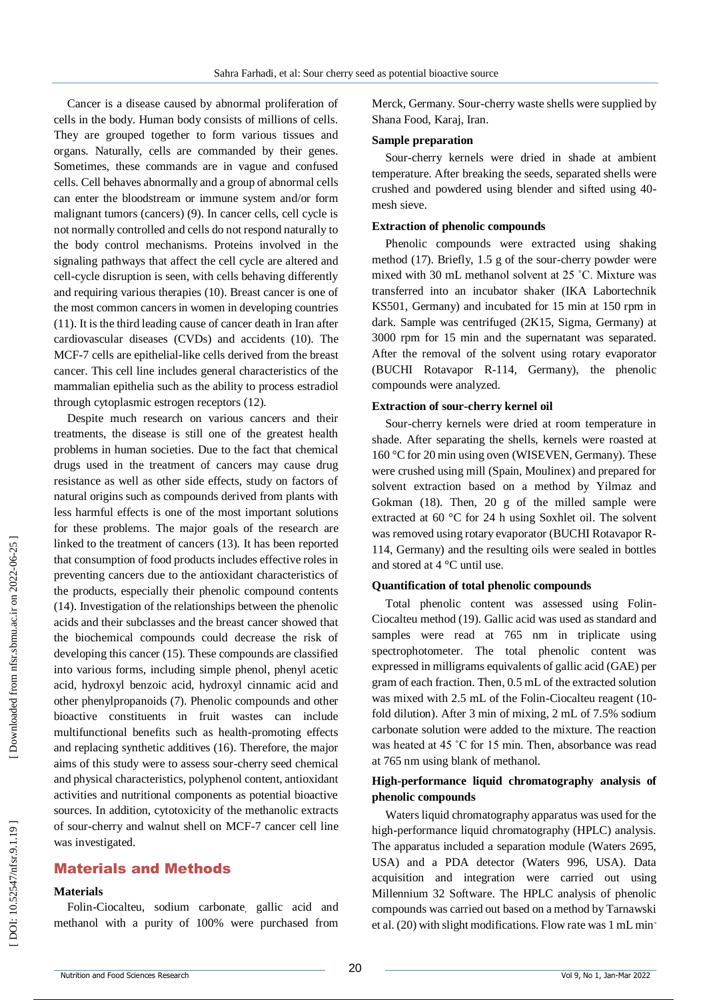Cancer is a disease caused by abnormal proliferation of cells in the body. Human body consists of millions of cells. They are grouped together to form various tissues and organs. Naturally, cells are commanded by their genes. Sometimes, these commands are in vague and confused cells. Cell behaves abnormally and a group of abnormal cells can enter the bloodstream or immune system and/or form malignant tumors (cancers) (9). In cancer cells, cell cycle is not normally controlled and cells do not respond naturally to the body control mechanisms. Proteins involved in the signaling pathways that affect the cell cycle are altered and cell -cycle disruption is seen, with cells behaving differently and requiring various therapies (10). Breast cancer is one of the most common cancers in women in developing countries (11). It is the third leading cause of cancer death in Iran after cardiovascular diseases (CVDs) and accidents (10). The MCF -7 cells are epithelial -like cells derived from the breast cancer. This cell line includes general characteristics of the mammalian epithelia such as the ability to process estradiol through cytoplasmic estrogen receptors (12).

Despite much research on various cancers and their treatments, the disease is still one of the greatest health problems in human societies. Due to the fact that chemical drugs used in the treatment of cancers may cause drug resistance as well as other side effects, study on factors of natural origins such as compounds derived from plants with less harmful effects is one of the most important solutions for these problems. The major goals of the research are linked to the treatment of cancers (13). It has been reported that consumption of food products includes effective roles in preventing cancers due to the antioxidant characteristics of the products, especially their phenolic compound contents (14) . Investigation of the relationships between the phenolic acids and their subclasses and the breast cancer showed that the biochemical compounds could decrease the risk of developing this cancer (15). These compounds are classified into various forms, including simple phenol, phenyl acetic acid, hydroxyl benzoic acid, hydroxyl cinnamic acid and other phenylpropanoids (7). Phenolic compounds and other bioactive constituents in fruit wastes can include multifunctional benefits such as health -promoting effects and replacing synthetic additives (16). Therefore, the major aims of this study were to assess sour -cherry seed chemical and physical characteristics, polyphenol content, antioxidant activities and nutritional components as potential bioactive sources . In addition, cytotoxicity of the methanolic extracts of sour -cherry and walnut shell on MCF -7 cancer cell line was investigated.

# Material s and Methods

# **Materials**

Folin -Ciocalteu, sodium carbonate , gallic acid and methanol with a purity of 100% were purchased from

Merck, Germany. Sour -cherry waste shells were supplied by Shana Food, Karaj, Iran.

#### **Sample preparation**

Sour -cherry kernels were dried in shade at ambient temperature. After breaking the seeds, separated shells were crushed and powdered using blender and sifted using 40 mesh sieve.

#### **Extraction of phenolic compounds**

Phenolic compounds were extracted using shaking method (17). Briefly, 1.5 g of the sour -cherry powder were mixed with 30 mL methanol solvent at 25 ˚C. Mixture was transferred into an incubator shaker (IKA Labortechnik KS501, Germany) and incubated for 15 min at 150 rpm in dark. Sample was centrifuged (2K15, Sigma, Germany) at 3000 rpm for 15 min and the supernatant was separated. After the removal of the solvent using rotary evaporator (BUCHI Rotavapor R -114, Germany), the phenolic compounds were analyzed.

#### **Extraction of sour -cherry kernel oil**

Sour -cherry kernels were dried at room temperature in shade. After separating the shells, kernels were roasted at 160 °C for 20 min using oven (WISEVEN, Germany). These were crushed using mill (Spain, Moulinex) and prepared for solvent extraction based on a method by Yilmaz and Gokman (18). Then, 20 g of the milled sample were extracted at 60 °C for 24 h using Soxhlet oil. The solvent was removed using rotary evaporator (BUCHI Rotavapor R - 114, Germany) and the resulting oils were sealed in bottles and stored at 4 °C until use.

#### **Quantification of total phenolic compounds**

Total phenolic content was assessed using Folin - Ciocalteu method (19). Gallic acid was used as standard and samples were read at 765 nm in triplicate using spectrophotometer. The total phenolic content was expressed in milligrams equivalents of gallic acid (GAE) per gram of each fraction. Then, 0.5 mL of the extracted solution was mixed with 2.5 mL of the Folin-Ciocalteu reagent (10fold dilution). After 3 min of mixing, 2 mL of 7.5% sodium carbonate solution were added to the mixture. The reaction was heated at 45 °C for 15 min. Then, absorbance was read at 765 nm using blank of methanol.

## **High -performance liquid chromatography analysis of phenolic compounds**

Waters liquid chromatography apparatus was used for the high -performance liquid chromatography (HPLC) analysis. The apparatus included a separation module (Waters 2695, USA) and a PDA detector (Waters 996, USA). Data acquisition and integration were carried out using Millennium 32 Software. The HPLC analysis of phenolic compounds was carried out based on a method by Tarnawski et al. (20) with slight modifications. Flow rate was 1 mL min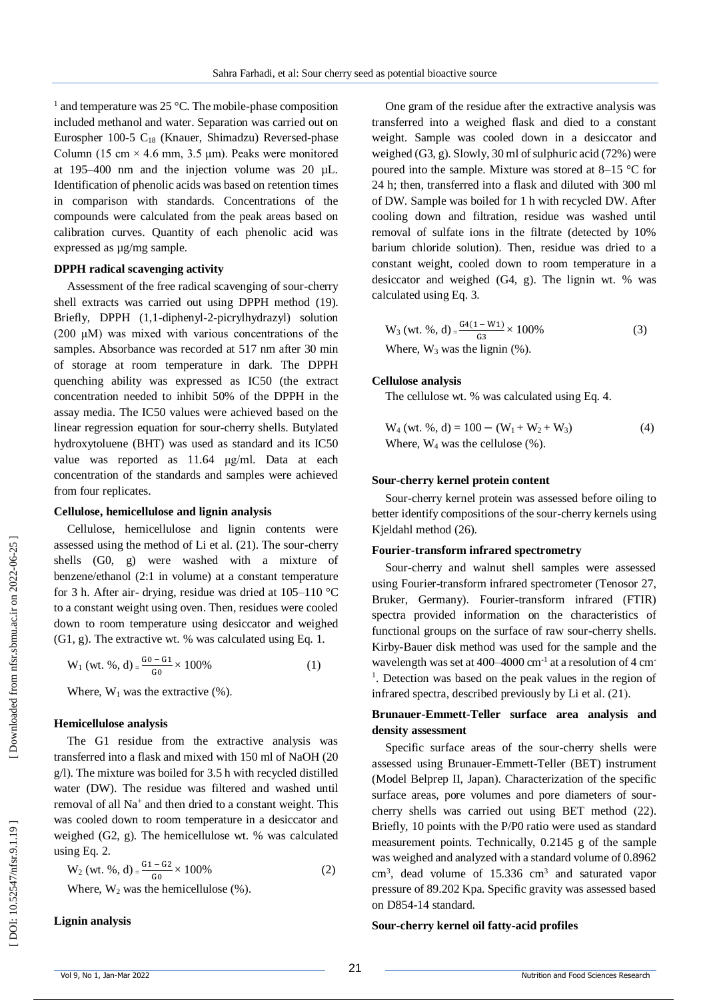<sup>1</sup> and temperature was 25 °C. The mobile-phase composition included methanol and water. Separation was carried out on Eurospher 100-5 C<sub>18</sub> (Knauer, Shimadzu) Reversed-phase Column (15 cm  $\times$  4.6 mm, 3.5 µm). Peaks were monitored at 195 –400 nm and the injection volume was 20 µL. Identification of phenolic acids was based on retention times in comparison with standards. Concentrations of the compounds were calculated from the peak areas based on calibration curves. Quantity of each phenolic acid was expressed as µg/mg sample.

#### **DPPH radical scavenging activity**

Assessment of the free radical scavenging of sour -cherry shell extracts was carried out using DPPH method (19). Briefly, DPPH (1,1 -diphenyl - 2 -picrylhydrazyl) solution (200 μM) was mixed with various concentrations of the samples. Absorbance was recorded at 517 nm after 30 min of storage at room temperature in dark. The DPPH quenching ability was expressed as IC50 (the extract concentration needed to inhibit 50% of the DPPH in the assay media. The IC50 values were achieved based on the linear regression equation for sour -cherry shells. Butylated hydroxytoluene (BHT) was used as standard and its IC50 value was reported as 11.64 μg/ml. Data at each concentration of the standards and samples were achieved from four replicates.

#### **Cellulose, hemicellulose and lignin analysis**

Cellulose, hemicellulose and lignin contents were assessed using the method of Li et al. (21). The sour -cherry shells (G0, g) were washed with a mixture of benzene/ethanol (2:1 in volume) at a constant temperature for 3 h. After air- drying, residue was dried at 105-110 °C to a constant weight using oven. Then, residues were cooled down to room temperature using desiccator and weighed (G1, g). The extractive wt. % was calculated using Eq. 1.

$$
W_1 (wt. %, d) = \frac{G_0 - G_1}{G_0} \times 100\%
$$
 (1)

Where,  $W_1$  was the extractive  $(\%)$ .

#### **Hemicellulose analysis**

The G1 residue from the extractive analysis was transferred into a flask and mixed with 150 ml of NaOH (20 g/l). The mixture was boiled for 3.5 h with recycled distilled water (DW). The residue was filtered and washed until removal of all Na<sup>+</sup> and then dried to a constant weight. This was cooled down to room temperature in a desiccator and weighed (G2, g). The hemicellulose wt. % was calculated using Eq. 2.

$$
W_2 (wt. %, d) = \frac{G_1 - G_2}{G_0} \times 100\%
$$
\n(2)

Where,  $W_2$  was the hemicellulose  $(\%)$ .

**Lignin analysis**

One gram of the residue after the extractive analysis was transferred into a weighed flask and died to a constant weight. Sample was cooled down in a desiccator and weighed (G3, g). Slowly, 30 ml of sulphuric acid (72%) were poured into the sample. Mixture was stored at 8 –15 °C for 24 h; then, transferred into a flask and diluted with 300 ml of DW. Sample was boiled for 1 h with recycled DW. After cooling down and filtration, residue was washed until removal of sulfate ions in the filtrate (detected by 10% barium chloride solution). Then, residue was dried to a constant weight, cooled down to room temperature in a desiccator and weighed (G4, g). The lignin wt. % was calculated using Eq. 3.

$$
W_3 (wt. %, d) = \frac{G4(1 - W1)}{G3} \times 100\%
$$
  
Where, W<sub>3</sub> was the lignin (%). (3)

#### **Cellulose analysis**

The cellulose wt. % was calculated using Eq. 4.

$$
W_4 (wt. %, d) = 100 - (W_1 + W_2 + W_3)
$$
  
Where, W<sub>4</sub> was the cellulose (%). (4)

#### **Sour -cherry kernel protein content**

Sour -cherry kernel protein was assessed before oiling to better identify compositions of the sour -cherry kernels using Kjeldahl method (26).

#### **Fourier -transform infrared spectrometry**

Sour -cherry and walnut shell samples were assessed using Fourier -transform infrared spectrometer (Tenosor 27, Bruker, Germany). Fourier -transform infrared (FTIR) spectra provided information on the characteristics of functional groups on the surface of raw sour-cherry shells. Kirby -Bauer disk method was used for the sample and the wavelength was set at 400–4000 cm<sup>-1</sup> at a resolution of 4 cm<sup>-</sup> <sup>1</sup>. Detection was based on the peak values in the region of infrared spectra, described previously by Li et al. (21).

# **Brunauer -Emmett -Teller surface area analysis and density assessment**

Specific surface areas of the sour -cherry shells were assessed using Brunauer -Emmett -Teller (BET) instrument (Model Belprep II, Japan). Characterization of the specific surface areas, pore volumes and pore diameters of sour cherry shells was carried out using BET method (22). Briefly, 10 points with the P/P0 ratio were used as standard measurement points. Technically, 0.2145 g of the sample was weighed and analyzed with a standard volume of 0.8962 cm 3 , dead volume of 15.336 cm 3 and saturated vapor pressure of 89.202 Kpa. Specific gravity was assessed based on D854 -14 standard.

#### **Sour -cherry kernel oil fatty -acid profiles**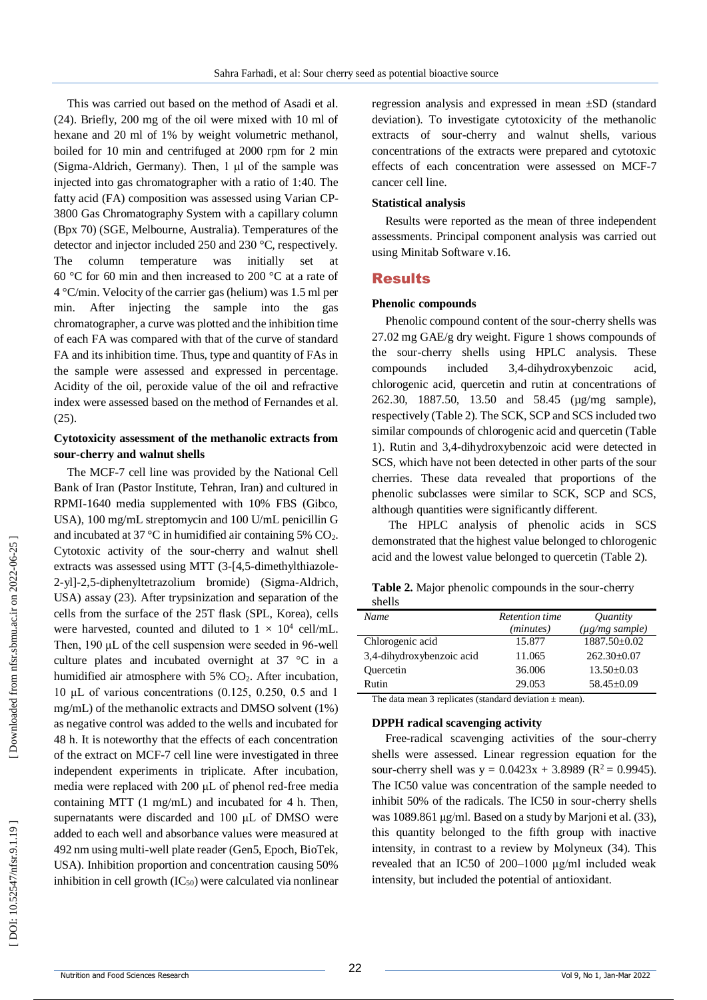This was carried out based on the method of Asadi et al. (24). Briefly, 200 mg of the oil were mixed with 10 ml of hexane and 20 ml of 1% by weight volumetric methanol, boiled for 10 min and centrifuged at 2000 rpm for 2 min (Sigma -Aldrich, Germany). Then, 1 μl of the sample was injected into gas chromatographer with a ratio of 1:40. The fatty acid (FA) composition was assessed using Varian CP-3800 Gas Chromatography System with a capillary column (Bpx 70) (SGE, Melbourne, Australia). Temperatures of the detector and injector included 250 and 230 °C, respectively. The column temperature was initially set at 60 °C for 60 min and then increased to 200 °C at a rate of 4 °C/min. Velocity of the carrier gas (helium) was 1.5 ml per min. After injecting the sample into the gas chromatographer, a curve was plotted and the inhibition time of each FA was compared with that of the curve of standard FA and its inhibition time. Thus, type and quantity of FAs in the sample were assessed and expressed in percentage. Acidity of the oil, peroxide value of the oil and refractive index were assessed based on the method of Fernandes et al. (25).

# **Cytotoxicity assessment of the methanolic extracts from sour -cherry and walnut shells**

The MCF - 7 cell line was provided by the National Cell Bank of Iran (Pastor Institute, Tehran, Iran) and cultured in RPMI -1640 media supplemented with 10% FBS (Gibco, USA), 100 mg/mL streptomycin and 100 U/mL penicillin G and incubated at 37 °C in humidified air containing 5%  $CO<sub>2</sub>$ . Cytotoxic activity of the sour -cherry and walnut shell extracts was assessed using MTT (3-[4,5-dimethylthiazole-2 -yl] -2,5 -diphenyltetrazolium bromide) (Sigma -Aldrich , USA) assay (23). After trypsinization and separation of the cells from the surface of the 25T flask (SPL, Korea), cells were harvested, counted and diluted to  $1 \times 10^4$  cell/mL. Then, 190 μL of the cell suspension were seeded in 96-well culture plates and incubated overnight at 37 °C in a humidified air atmosphere with 5% CO <sup>2</sup>. After incubation, 10 μL of various concentrations (0.125, 0.250, 0.5 and 1 mg/mL) of the methanolic extracts and DMSO solvent (1%) as negative control was added to the wells and incubated for 48 h. It is noteworthy that the effects of each concentration of the extract on MCF - 7 cell line were investigated in three independent experiments in triplicate. After incubation, media were replaced with 200 μL of phenol red-free media containing MTT (1 mg/mL) and incubated for 4 h. Then, supernatants were discarded and 100 μL of DMSO were added to each well and absorbance values were measured at 492 nm using multi -well plate reader (Gen5, Epoch, BioTek, USA). Inhibition proportion and concentration causing 50% inhibition in cell growth  $(IC_{50})$  were calculated via nonlinear

regression analysis and expressed in mean ±SD (standard deviation). To investigate cytotoxicity of the methanolic extracts of sour -cherry and walnut shells, various concentrations of the extracts were prepared and cytotoxic effects of each concentration were assessed on MCF -7 cancer cell line.

#### **Statistical analysis**

Results were reported as the mean of three independent assessments. Principal component analysis was carried out using Minitab Software v.16.

#### Results

#### **Phenolic compounds**

Phenolic compound content of the sour -cherry shells was 27.02 mg GAE/g dry weight. Figure 1 shows compounds of the sour -cherry shells using HPLC analysis. These compounds included 3,4-dihydroxybenzoic acid, chlorogenic acid, quercetin and rutin at concentrations of 262.30, 1887.50, 13.50 and 58.45 (µg/mg sample), respectively (Table 2). The SCK, SCP and SCS included two similar compounds of chlorogenic acid and quercetin (Table 1). Rutin and 3,4 -dihydroxybenzoic acid were detected in SCS, which have not been detected in other parts of the sour cherries. These data revealed that proportions of the phenolic subclasses were similar to SCK, SCP and SCS, although quantities were significantly different.

The HPLC analysis of phenolic acids in SCS demonstrated that the highest value belonged to chlorogenic acid and the lowest value belonged to quercetin (Table 2).

| snells                    |                       |                        |
|---------------------------|-----------------------|------------------------|
| Name                      | <b>Retention time</b> | Quantity               |
|                           | (minutes)             | $(\mu g/mg \, sample)$ |
| Chlorogenic acid          | 15.877                | 1887.50±0.02           |
| 3,4-dihydroxybenzoic acid | 11.065                | $262.30\pm0.07$        |
| Quercetin                 | 36.006                | $13.50 \pm 0.03$       |
| Rutin                     | 29.053                | $58.45 + 0.09$         |

Table 2. Major phenolic compounds in the sour-cherry shells

The data mean 3 replicates (standard deviation  $\pm$  mean).

#### **DPPH radical scavenging activity**

Free-radical scavenging activities of the sour-cherry shells were assessed. Linear regression equation for the sour-cherry shell was  $y = 0.0423x + 3.8989$  ( $R^2 = 0.9945$ ). The IC50 value was concentration of the sample needed to inhibit 50% of the radicals. The IC50 in sour-cherry shells was 1089.861 μg/ml. Based on a study by Marjoni et al. (33), this quantity belonged to the fifth group with inactive intensity, in contrast to a review by Molyneux (34). This revealed that an IC50 of 200 –1000 μg/ml included weak intensity, but included the potential of antioxidant.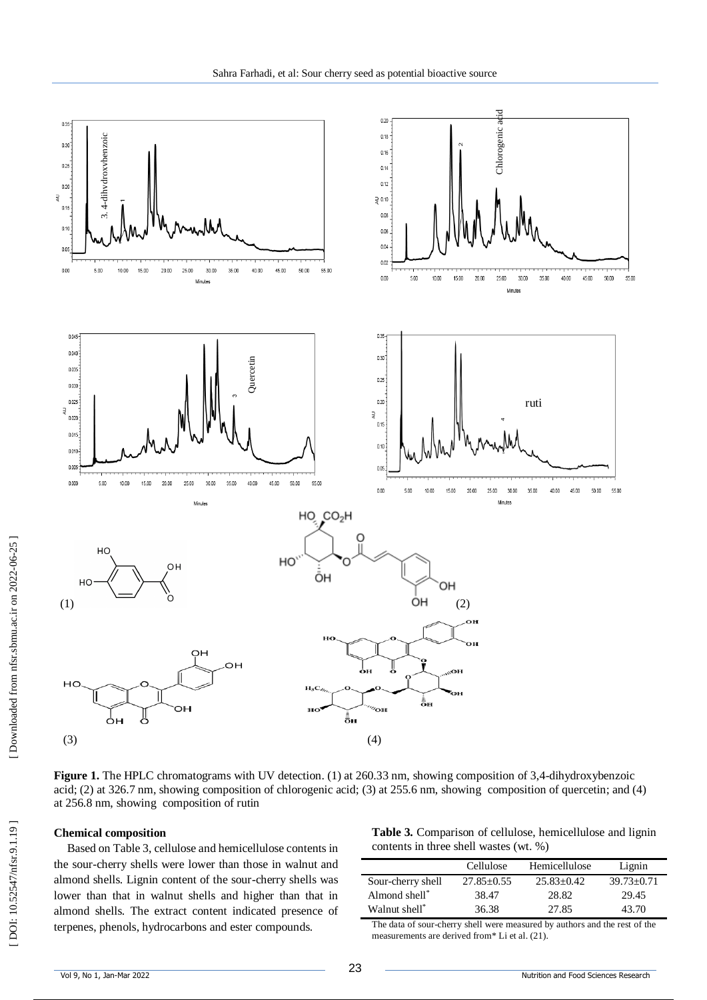

Figure 1. The HPLC chromatograms with UV detection. (1) at 260.33 nm, showing composition of 3,4-dihydroxybenzoic acid ; (2) at 326.7 nm, showing composition of chlorogenic acid; (3) at 255.6 nm, showing composition of quercetin; and (4) at 256.8 nm, showing composition of rutin

#### **Chemical composition**

Based on Table 3, cellulose and hemicellulose contents in the sour -cherry shells were lower than those in walnut and almond shells. Lignin content of the sour -cherry shells was lower than that in walnut shells and higher than that in almond shells. The extract content indicated presence of terpenes, phenols, hydrocarbons and ester compounds.

**Table 3.** Comparison of cellulose, hemicellulose and lignin contents in three shell wastes (wt. %)

|                   | Cellulose      | Hemicellulose | Lignin           |
|-------------------|----------------|---------------|------------------|
| Sour-cherry shell | $27.85 + 0.55$ | $25.83+0.42$  | $39.73 \pm 0.71$ |
| Almond shell*     | 38.47          | 28.82         | 29.45            |
| Walnut shell*     | 36.38          | 27.85         | 43.70            |

The data of sour -cherry shell were measured by authors and the rest of the measurements are derived from\* Li et al. (21).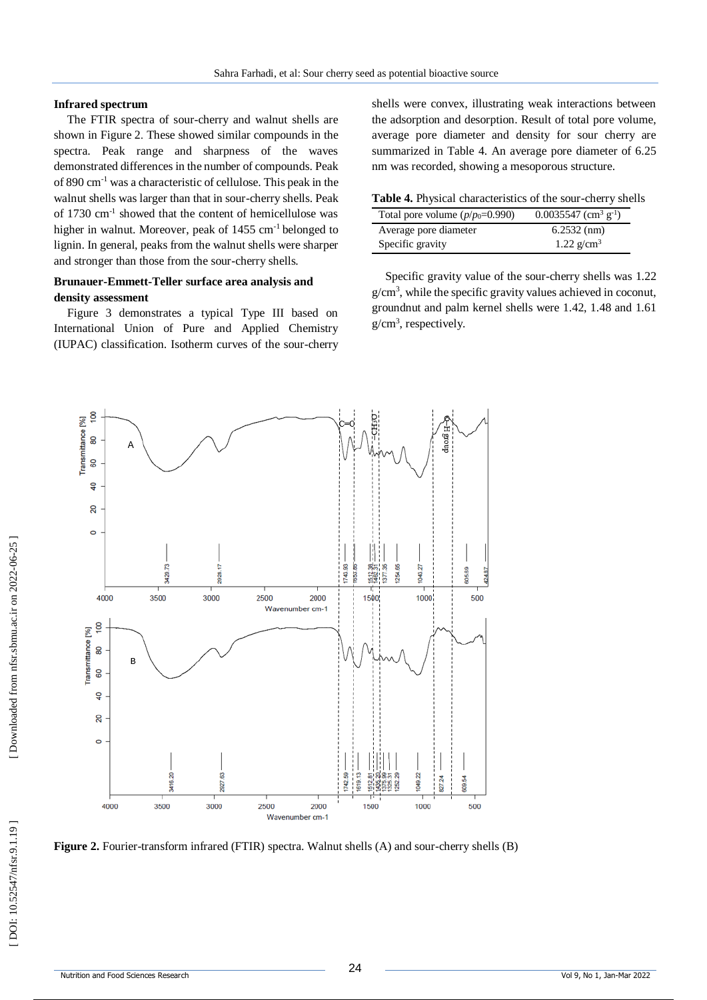## **Infrared spectrum**

The FTIR spectra of sour -cherry and walnut shells are shown in Figure 2 . These showed similar compounds in the spectra. Peak range and sharpness of the waves demonstrated differences in the number of compounds. Peak of 890 cm - <sup>1</sup> was a characteristic of cellulose. This peak in the walnut shells was larger than that in sour -cherry shells. Peak of 1730 cm - 1 showed that the content of hemicellulose was higher in walnut. Moreover, peak of 1455 cm<sup>-1</sup> belonged to lignin. In general, peaks from the walnut shells were sharper and stronger than those from the sour -cherry shells.

# **Brunauer -Emmett -Teller surface area analysis and density assessment**

Figure 3 demonstrates a typical Type III based on International Union of Pure and Applied Chemistry (IUPAC) classification. Isotherm curves of the sour -cherry shells were convex, illustrating weak interactions between the adsorption and desorption. Result of total pore volume, average pore diameter and density for sour cherry are summarized in Table 4. An average pore diameter of 6.25 nm was recorded, showing a mesoporous structure.

Table 4. Physical characteristics of the sour-cherry shells

| Total pore volume $(p/p_0=0.990)$ | $0.0035547$ (cm <sup>3</sup> g <sup>-1</sup> ) |
|-----------------------------------|------------------------------------------------|
| Average pore diameter             | $6.2532$ (nm)                                  |
| Specific gravity                  | 1.22 $g/cm^3$                                  |

Specific gravity value of the sour -cherry shells was 1.22 g/cm 3 , while the specific gravity values achieved in coconut, groundnut and palm kernel shells were 1.42, 1.48 and 1.61 g/cm 3 , respectively.



Figure 2. Fourier-transform infrared (FTIR) spectra. Walnut shells (A) and sour-cherry shells (B)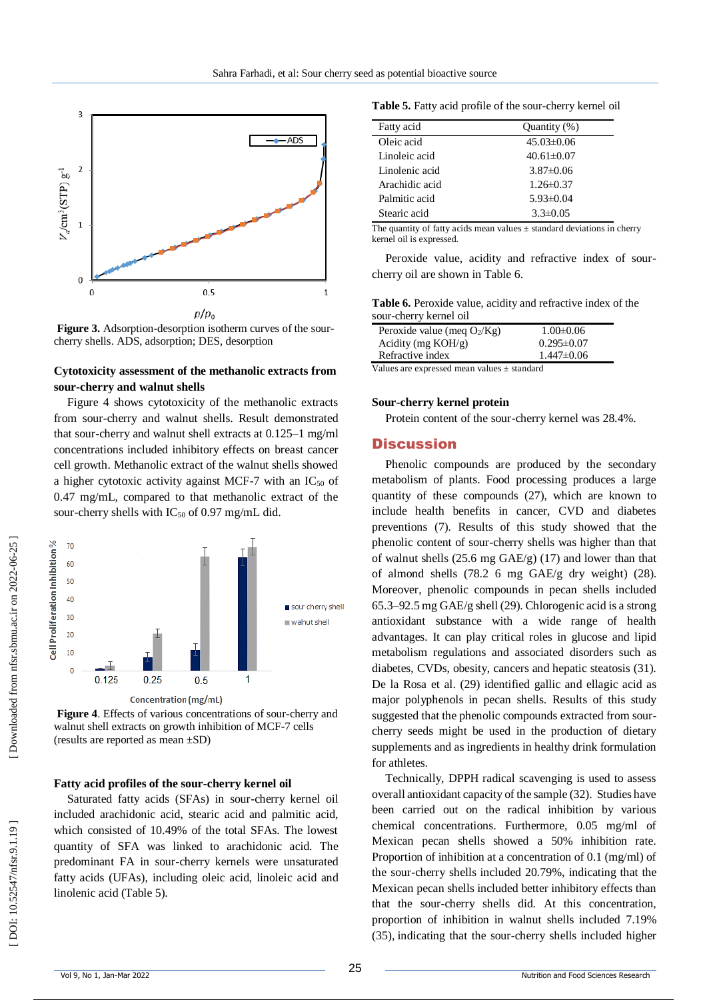

Figure 3. Adsorption-desorption isotherm curves of the sourcherry shells. ADS, adsorption; DES, desorption

## **Cytotoxicity assessment of the methanolic extracts from sour -cherry and walnut shells**

Figure 4 shows cytotoxicity of the methanolic extracts from sour -cherry and walnut shells. Result demonstrated that sour -cherry and walnut shell extracts at 0.125 –1 mg/ml concentrations included inhibitory effects on breast cancer cell growth. Methanolic extract of the walnut shells showed a higher cytotoxic activity against MCF-7 with an  $IC_{50}$  of 0.47 mg/mL, compared to that methanolic extract of the sour-cherry shells with IC<sub>50</sub> of 0.97 mg/mL did.



Figure 4. Effects of various concentrations of sour-cherry and walnut shell extracts on growth inhibition of MCF -7 cells (results are reported as mean ±SD)

#### **Fatty acid profiles of the sour -cherry kernel oil**

Saturated fatty acids (SFAs) in sour -cherry kernel oil included arachidonic acid, stearic acid and palmitic acid, which consisted of 10.49% of the total SFAs. The lowest quantity of SFA was linked to arachidonic acid. The predominant FA in sour -cherry kernels were unsaturated fatty acids (UFAs), including oleic acid, linoleic acid and linolenic acid (Table 5).

Table 5. Fatty acid profile of the sour-cherry kernel oil

| Fatty acid     | Quantity (%)     |  |
|----------------|------------------|--|
| Oleic acid     | $45.03\pm0.06$   |  |
| Linoleic acid  | $40.61 \pm 0.07$ |  |
| Linolenic acid | $3.87\pm0.06$    |  |
| Arachidic acid | $1.26 \pm 0.37$  |  |
| Palmitic acid  | $5.93\pm0.04$    |  |
| Stearic acid   | $3.3 \pm 0.05$   |  |

The quantity of fatty acids mean values  $\pm$  standard deviations in cherry kernel oil is expressed.

Peroxide value, acidity and refractive index of sour cherry oil are shown in Table 6.

**Table 6.** Peroxide value, acidity and refractive index of the sour -cherry kernel oil

| Peroxide value (meq $O_2/Kg$ ) |   |  | $1.00 \pm 0.06$  |
|--------------------------------|---|--|------------------|
| Acidity (mg $KOH/g$ )          |   |  | $0.295 \pm 0.07$ |
| Refractive index               |   |  | $1.447 \pm 0.06$ |
| <b>TT 1</b>                    | . |  |                  |

Values are expressed mean values ± standard

#### **Sour -cherry kernel protein**

Protein content of the sour -cherry kernel was 28.4%.

#### **Discussion**

Phenolic compounds are produced by the secondary metabolism of plants. Food processing produces a large quantity of these compounds (27), which are known to include health benefits in cancer, CVD and diabetes preventions (7). Results of this study showed that the phenolic content of sour -cherry shells was higher than that of walnut shells (25.6 mg GAE/g) (17) and lower than that of almond shells (78.2 6 mg GAE/g dry weight) (28). Moreover, phenolic compounds in pecan shells included 65.3 –92.5 mg GAE/g shell (29). Chlorogenic acid is a strong antioxidant substance with a wide range of health advantages. It can play critical roles in glucose and lipid metabolism regulations and associated disorders such as diabetes, CVDs, obesity, cancers and hepatic steatosis (31). De la Rosa et al. (29) identified gallic and ellagic acid as major polyphenols in pecan shells. Results of this study suggested that the phenolic compounds extracted from sour cherry seeds might be used in the production of dietary supplements and as ingredients in healthy drink formulation for athletes.

Technically, DPPH radical scavenging is used to assess overall antioxidant capacity of the sample (32). Studies have been carried out on the radical inhibition by various chemical concentrations. Furthermore, 0.05 mg/ml of Mexican pecan shells showed a 50% inhibition rate. Proportion of inhibition at a concentration of 0.1 (mg/ml) of the sour -cherry shells included 20.79%, indicating that the Mexican pecan shells included better inhibitory effects than that the sour -cherry shells did. At this concentration, proportion of inhibition in walnut shells included 7.19% (35), indicating that the sour -cherry shells included higher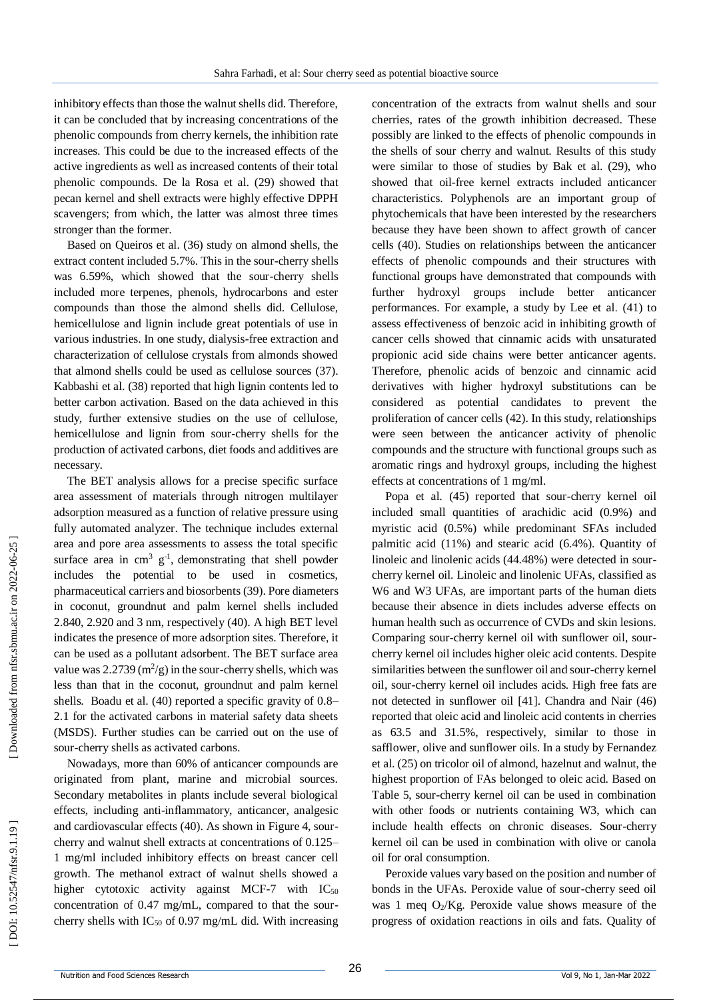inhibitory effects than those the walnut shells did. Therefore, it can be concluded that by increasing concentrations of the phenolic compounds from cherry kernels, the inhibition rate increases. This could be due to the increased effects of the active ingredients as well as increased contents of their total phenolic compounds. De la Rosa et al. (29) showed that pecan kernel and shell extracts were highly effective DPPH scavengers; from which, the latter was almost three times stronger than the former.

Based on Queiros et al. (36) study on almond shells, the extract content included 5.7%. This in the sour-cherry shells was 6.59%, which showed that the sour -cherry shells included more terpenes, phenols, hydrocarbons and ester compounds than those the almond shells did. Cellulose, hemicellulose and lignin include great potentials of use in various industries. In one study, dialysis -free extraction and characterization of cellulose crystals from almonds showed that almond shells could be used as cellulose sources (37). Kabbashi et al. (38) reported that high lignin contents led to better carbon activation. Based on the data achieved in this study, further extensive studies on the use of cellulose, hemicellulose and lignin from sour -cherry shells for the production of activated carbons, diet foods and additives are necessary.

The BET analysis allows for a precise specific surface area assessment of materials through nitrogen multilayer adsorption measured as a function of relative pressure using fully automated analyzer. The technique includes external area and pore area assessments to assess the total specific surface area in  $\text{cm}^3$   $\text{g}^{-1}$ , demonstrating that shell powder includes the potential to be used in cosmetics, pharmaceutical carriers and biosorbents (39). Pore diameters in coconut, groundnut and palm kernel shells included 2.840, 2.920 and 3 nm, respectively (40). A high BET level indicates the presence of more adsorption sites. Therefore, it can be used as a pollutant adsorbent. The BET surface area value was  $2.2739 \text{ (m}^2\text{/g)}$  in the sour-cherry shells, which was less than that in the coconut, groundnut and palm kernel shells. Boadu et al. (40) reported a specific gravity of 0.8 – 2.1 for the activated carbons in material safety data sheets (MSDS). Further studies can be carried out on the use of sour -cherry shells as activated carbons.

Nowadays, more than 60% of anticancer compounds are originated from plant, marine and microbial sources. Secondary metabolites in plants include several biological effects, including anti -inflammatory, anticancer, analgesic and cardiovascular effects (40). As shown in Figure 4, sour cherry and walnut shell extracts at concentrations of 0.125 – 1 mg/ml included inhibitory effects on breast cancer cell growth. The methanol extract of walnut shells showed a higher cytotoxic activity against MCF-7 with  $IC_{50}$ concentration of 0.47 mg/mL, compared to that the sour cherry shells with  $IC_{50}$  of 0.97 mg/mL did. With increasing

concentration of the extracts from walnut shells and sour cherries, rates of the growth inhibition decreased. These possibly are linked to the effects of phenolic compounds in the shells of sour cherry and walnut. Results of this study were similar to those of studies by Bak et al. (29), who showed that oil -free kernel extracts included anticancer characteristics. Polyphenols are an important group of phytochemicals that have been interested by the researchers because they have been shown to affect growth of cancer cells (40). Studies on relationships between the anticancer effects of phenolic compounds and their structures with functional groups have demonstrated that compounds with further hydroxyl groups include better anticancer performances. For example, a study by Lee et al . (41) to assess effectiveness of benzoic acid in inhibiting growth of cancer cells showed that cinnamic acids with unsaturated propionic acid side chains were better anticancer agents. Therefore, phenolic acids of benzoic and cinnamic acid derivatives with higher hydroxyl substitutions can be considered as potential candidates to prevent the proliferation of cancer cells (42). In this study, relationships were seen between the anticancer activity of phenolic compounds and the structure with functional groups such as aromatic rings and hydroxyl groups, including the highest effects at concentrations of 1 mg/ml.

Popa et al. (45) reported that sour -cherry kernel oil included small quantities of arachidic acid (0.9%) and myristic acid (0.5%) while predominant SFAs included palmitic acid (11%) and stearic acid (6.4%). Quantity of linoleic and linolenic acids (44.48%) were detected in sour cherry kernel oil. Linoleic and linolenic UFAs, classified as W6 and W3 UFAs, are important parts of the human diets because their absence in diets includes adverse effects on human health such as occurrence of CVDs and skin lesions. Comparing sour -cherry kernel oil with sunflower oil, sour cherry kernel oil includes higher oleic acid contents. Despite similarities between the sunflower oil and sour -cherry kernel oil, sour -cherry kernel oil includes acids. High free fats are not detected in sunflower oil [41]. Chandra and Nair (46) reported that oleic acid and linoleic acid contents in cherries as 63.5 and 31.5%, respectively, similar to those in safflower, olive and sunflower oils. In a study by Fernandez et al. (25) on tricolor oil of almond, hazelnut and walnut, the highest proportion of FAs belonged to oleic acid. Based on Table 5, sour -cherry kernel oil can be used in combination with other foods or nutrients containing W3, which can include health effects on chronic diseases. Sour -cherry kernel oil can be used in combination with olive or canola oil for oral consumption.

Peroxide values vary based on the position and number of bonds in the UFAs. Peroxide value of sour -cherry seed oil was 1 meq O <sup>2</sup>/Kg. Peroxide value shows measure of the progress of oxidation reactions in oils and fats. Quality of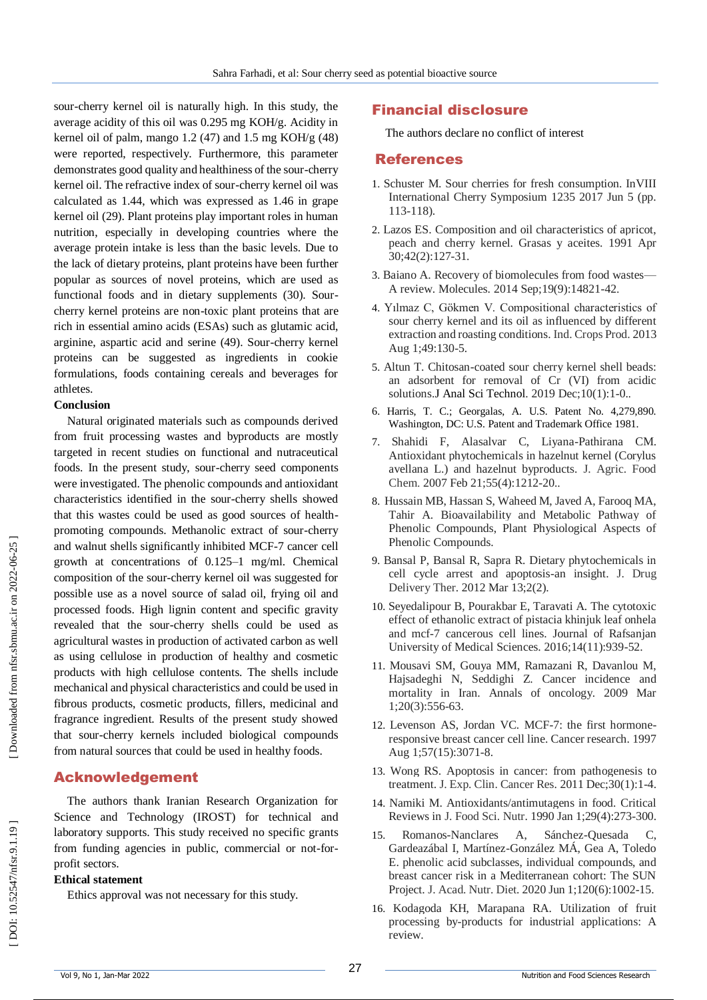sour -cherry kernel oil is naturally high. In this study, the average acidity of this oil was 0.295 mg KOH/g. Acidity in kernel oil of palm, mango  $1.2$  (47) and  $1.5$  mg KOH/g (48) were reported, respectively. Furthermore, this parameter demonstrates good quality and healthiness of the sour -cherry kernel oil. The refractive index of sour -cherry kernel oil was calculated as 1.44, which was expressed as 1.46 in grape kernel oil (29). Plant proteins play important roles in human nutrition, especially in developing countries where the average protein intake is less than the basic levels. Due to the lack of dietary proteins, plant proteins have been further popular as sources of novel proteins, which are used as functional foods and in dietary supplements (30). Sour cherry kernel proteins are non -toxic plant proteins that are rich in essential amino acids (ESAs) such as glutamic acid, arginine, aspartic acid and serine (49). Sour -cherry kernel proteins can be suggested as ingredients in cookie formulations, foods containing cereals and beverages for athletes.

#### **Conclusion**

Natural originated materials such as compounds derived from fruit processing wastes and byproducts are mostly targeted in recent studies on functional and nutraceutical foods. In the present study, sour -cherry seed components were investigated. The phenolic compounds and antioxidant characteristics identified in the sour -cherry shells showed that this wastes could be used as good sources of health promoting compounds. Methanolic extract of sour -cherry and walnut shells significantly inhibited MCF -7 cancer cell growth at concentrations of 0.125 –1 mg/ml. Chemical composition of the sour -cherry kernel oil was suggested for possible use as a novel source of salad oil, frying oil and processed foods. High lignin content and specific gravity revealed that the sour -cherry shells could be used as agricultural wastes in production of activated carbon as well as using cellulose in production of healthy and cosmetic products with high cellulose contents. The shells include mechanical and physical characteristics and could be used in fibrous products, cosmetic products, fillers, medicinal and fragrance ingredient. Results of the present study showed that sour -cherry kernels included biological compounds from natural sources that could be used in healthy foods.

# Acknowledgement

The authors thank Iranian Research Organization for Science and Technology (IROST) for technical and laboratory supports. This study received no specific grants from funding agencies in public, commercial or not-forprofit sectors.

#### **Ethical statement**

Ethics approval was not necessary for this study.

# Financial disclosure

The authors declare no conflict of interest

# References

- 1. Schuster M. Sour cherries for fresh consumption. InVIII International Cherry Symposium 1235 2017 Jun 5 (pp. 113 -118).
- 2. Lazos ES. Composition and oil characteristics of apricot, peach and cherry kernel. Grasas y aceites. 1991 Apr 30;42(2):127 -31.
- 3. Baiano A. Recovery of biomolecules from food wastes A review. Molecules. 2014 Sep;19(9):14821 -42 .
- 4. Yılmaz C, Gökmen V. Compositional characteristics of sour cherry kernel and its oil as influenced by different extraction and roasting conditions. Ind. Crops Prod. 2013 Aug 1;49:130 -5.
- 5. Altun T. Chitosan -coated sour cherry kernel shell beads: an adsorbent for removal of Cr (VI) from acidic solutions.J Anal Sci Technol. 2019 Dec;10(1):1-0..
- 6. Harris, T. C.; Georgalas, A. U.S. Patent No. 4,279,890. Washington, DC: U.S. Patent and Trademark Office 1981.
- 7. Shahidi F, Alasalvar C, Liyana -Pathirana CM. Antioxidant phytochemicals in hazelnut kernel (Corylus avellana L.) and hazelnut byproducts. J. Agric. Food Chem. 2007 Feb 21;55(4):1212-20..
- 8. Hussain MB, Hassan S, Waheed M, Javed A, Farooq MA, Tahir A. Bioavailability and Metabolic Pathway of Phenolic Compounds, Plant Physiological Aspects of Phenolic Compounds.
- 9. Bansal P, Bansal R, Sapra R. Dietary phytochemicals in cell cycle arrest and apoptosis -an insight. J. Drug Delivery Ther. 2012 Mar 13;2(2).
- 10. Seyedalipour B, Pourakbar E, Taravati A. The cytotoxic effect of ethanolic extract of pistacia khinjuk leaf onhela and mcf-7 cancerous cell lines. Journal of Rafsanjan University of Medical Sciences. 2016;14(11):939 -52.
- 11. Mousavi SM, Gouya MM, Ramazani R, Davanlou M, Hajsadeghi N, Seddighi Z. Cancer incidence and mortality in Iran. Annals of oncology. 2009 Mar 1;20(3):556 -63.
- 12. Levenson AS, Jordan VC. MCF-7: the first hormoneresponsive breast cancer cell line. Cancer research. 1997 Aug 1;57(15):3071 -8.
- 13. Wong RS. Apoptosis in cancer: from pathogenesis to treatment. J. Exp. Clin. Cancer Res. 2011 Dec;30(1):1 -4.
- 14. Namiki M. Antioxidants/antimutagens in food. Critical Reviews in J. Food Sci. Nutr. 1990 Jan 1;29(4):273 -300.
- 15. Romanos -Nanclares A, Sánchez Sánchez-Quesada C, Gardeazábal I, Martínez -González MÁ, Gea A, Toledo E. phenolic acid subclasses, individual compounds, and breast cancer risk in a Mediterranean cohort: The SUN Project. J. Acad. Nutr. Diet. 2020 Jun 1;120(6):1002 -15.
- 16. Kodagoda KH, Marapana RA. Utilization of fruit processing by -products for industrial applications: A review.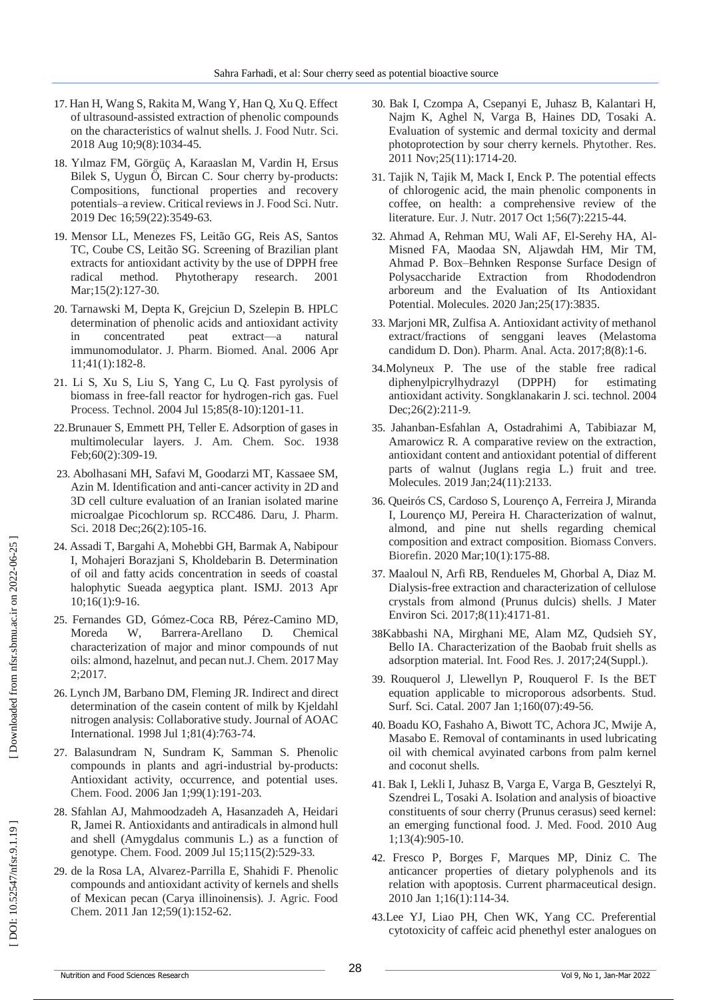- 17. Han H, Wang S, Rakita M, Wang Y, Han Q, Xu Q. Effect of ultrasound -assisted extraction of phenolic compounds on the characteristics of walnut shells. J. Food Nutr. Sci. 2018 Aug 10;9(8):1034 -45.
- 18. Yılmaz FM, Görgüç A, Karaaslan M, Vardin H, Ersus Bilek S, Uygun Ö, Bircan C. Sour cherry by -products: Compositions, functional properties and recovery potentials –a review. Critical reviews in J. Food Sci. Nutr. 2019 Dec 16;59(22):3549 -63.
- 19. Mensor LL, Menezes FS, Leitão GG, Reis AS, Santos TC, Coube CS, Leitão SG. Screening of Brazilian plant extracts for antioxidant activity by the use of DPPH free radical method. Phytotherapy research. 2001 Mar;15(2):127-30.
- 20. Tarnawski M, Depta K, Grejciun D, Szelepin B. HPLC determination of phenolic acids and antioxidant activity in concentrated peat extract —a natural immunomodulator. J. Pharm. Biomed. Anal. 2006 Apr 11;41(1):182 -8.
- 21. Li S, Xu S, Liu S, Yang C, Lu Q. Fast pyrolysis of biomass in free -fall reactor for hydrogen -rich gas. Fuel Process. Technol. 2004 Jul 15;85(8 -10):1201 -11.
- 22 .Brunauer S, Emmett PH, Teller E. Adsorption of gases in multimolecular layers. J. Am. Chem. Soc. 1938 Feb;60(2):309-19.
- 23. Abolhasani MH, Safavi M, Goodarzi MT, Kassaee SM, Azin M. Identification and anti -cancer activity in 2D and 3D cell culture evaluation of an Iranian isolated marine microalgae Picochlorum sp. RCC486. Daru, J. Pharm. Sci. 2018 Dec; 26(2): 105-16.
- 24. Assadi T, Bargahi A, Mohebbi GH, Barmak A, Nabipour I, Mohajeri Borazjani S, Kholdebarin B. Determination of oil and fatty acids concentration in seeds of coastal halophytic Sueada aegyptica plant. ISMJ. 2013 Apr 10;16(1):9 -16.
- 25. Fernandes GD, Gómez -Coca RB, Pérez -Camino MD, Moreda W, Barrera-Arellano D. Chemical characterization of major and minor compounds of nut oils: almond, hazelnut, and pecan nut.J. Chem. 2017 May 2;2017.
- 26. Lynch JM, Barbano DM, Fleming JR. Indirect and direct determination of the casein content of milk by Kjeldahl nitrogen analysis: Collaborative study. Journal of AOAC International. 1998 Jul 1;81(4):763 -74.
- 27. Balasundram N, Sundram K, Samman S. Phenolic compounds in plants and agri -industrial by -products: Antioxidant activity, occurrence, and potential uses. Chem. Food. 2006 Jan 1;99(1):191 -203.
- 28. Sfahlan AJ, Mahmoodzadeh A, Hasanzadeh A, Heidari R, Jamei R. Antioxidants and antiradicals in almond hull and shell (Amygdalus communis L.) as a function of genotype. Chem. Food. 2009 Jul 15;115(2):529 -33.
- 29. de la Rosa LA, Alvarez -Parrilla E, Shahidi F. Phenolic compounds and antioxidant activity of kernels and shells of Mexican pecan (Carya illinoinensis). J. Agric. Food Chem. 2011 Jan 12;59(1):152 -62.
- 30. Bak I, Czompa A, Csepanyi E, Juhasz B, Kalantari H, Najm K, Aghel N, Varga B, Haines DD, Tosaki A. Evaluation of systemic and dermal toxicity and dermal photoprotection by sour cherry kernels. Phytother. Res. 2011 Nov;25(11):1714 -20 .
- 31. Tajik N, Tajik M, Mack I, Enck P. The potential effects of chlorogenic acid, the main phenolic components in coffee, on health: a comprehensive review of the literature. Eur. J. Nutr. 2017 Oct 1;56(7):2215 -44.
- 32. Ahmad A, Rehman MU, Wali AF, El -Serehy HA, Al Misned FA, Maodaa SN, Aljawdah HM, Mir TM, Ahmad P. Box –Behnken Response Surface Design of Polysaccharide Extraction from Rhododendron arboreum and the Evaluation of Its Antioxidant Potential. Molecules. 2020 Jan;25(17):3835.
- 33. Marjoni MR, Zulfisa A. Antioxidant activity of methanol extract/fractions of senggani leaves (Melastoma candidum D. Don). Pharm. Anal. Acta. 2017;8(8):1 -6.
- 34 .Molyneux P. The use of the stable free radical diphenylpicrylhydrazyl (DPPH) for estimating antioxidant activity. Songklanakarin J. sci. technol. 2004 Dec; 26(2): 211-9.
- 35. Jahanban -Esfahlan A, Ostadrahimi A, Tabibiazar M, Amarowicz R. A comparative review on the extraction, antioxidant content and antioxidant potential of different parts of walnut (Juglans regia L.) fruit and tree. Molecules. 2019 Jan;24(11):2133.
- 36. Queirós CS, Cardoso S, Lourenço A, Ferreira J, Miranda I, Lourenço MJ, Pereira H. Characterization of walnut, almond, and pine nut shells regarding chemical composition and extract composition. Biomass Convers. Biorefin. 2020 Mar;10(1):175 -88.
- 37. Maaloul N, Arfi RB, Rendueles M, Ghorbal A, Diaz M. Dialysis -free extraction and characterization of cellulose crystals from almond (Prunus dulcis) shells. J Mater Environ Sci. 2017;8(11):4171 -81.
- 38Kabbashi NA, Mirghani ME, Alam MZ, Qudsieh SY, Bello IA. Characterization of the Baobab fruit shells as adsorption material. Int. Food Res. J. 2017;24(Suppl.).
- 39. Rouquerol J, Llewellyn P, Rouquerol F. Is the BET equation applicable to microporous adsorbents. Stud. Surf. Sci. Catal. 2007 Jan 1;160(07):49-56.
- 40. Boadu KO, Fashaho A, Biwott TC, Achora JC, Mwije A, Masabo E. Removal of contaminants in used lubricating oil with chemical avyinated carbons from palm kernel and coconut shells .
- 41. Bak I, Lekli I, Juhasz B, Varga E, Varga B, Gesztelyi R, Szendrei L, Tosaki A. Isolation and analysis of bioactive constituents of sour cherry (Prunus cerasus) seed kernel: an emerging functional food. J. Med. Food. 2010 Aug 1;13(4):905 -10.
- 42. Fresco P, Borges F, Marques MP, Diniz C. The anticancer properties of dietary polyphenols and its relation with apoptosis. Current pharmaceutical design. 2010 Jan 1;16(1):114 -34.
- 43.Lee YJ, Liao PH, Chen WK, Yang CC. Preferential cytotoxicity of caffeic acid phenethyl ester analogues on